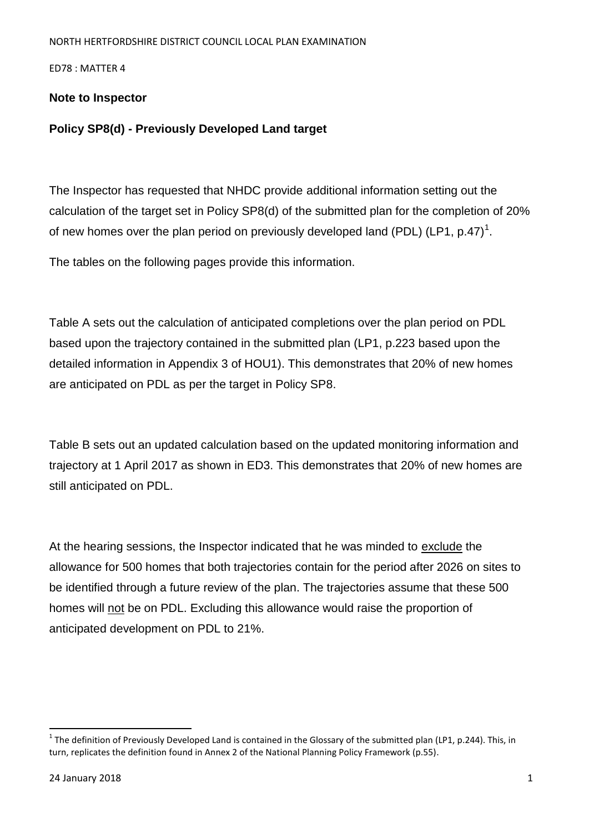ED78 : MATTER 4

## **Note to Inspector**

## **Policy SP8(d) - Previously Developed Land target**

The Inspector has requested that NHDC provide additional information setting out the calculation of the target set in Policy SP8(d) of the submitted plan for the completion of 20% of new homes over the plan period on previously developed land (PDL) (LP1, p.47)<sup>1</sup>.

The tables on the following pages provide this information.

Table A sets out the calculation of anticipated completions over the plan period on PDL based upon the trajectory contained in the submitted plan (LP1, p.223 based upon the detailed information in Appendix 3 of HOU1). This demonstrates that 20% of new homes are anticipated on PDL as per the target in Policy SP8.

Table B sets out an updated calculation based on the updated monitoring information and trajectory at 1 April 2017 as shown in ED3. This demonstrates that 20% of new homes are still anticipated on PDL.

At the hearing sessions, the Inspector indicated that he was minded to exclude the allowance for 500 homes that both trajectories contain for the period after 2026 on sites to be identified through a future review of the plan. The trajectories assume that these 500 homes will not be on PDL. Excluding this allowance would raise the proportion of anticipated development on PDL to 21%.

 $\overline{a}$ 

 $^1$  The definition of Previously Developed Land is contained in the Glossary of the submitted plan (LP1, p.244). This, in turn, replicates the definition found in Annex 2 of the National Planning Policy Framework (p.55).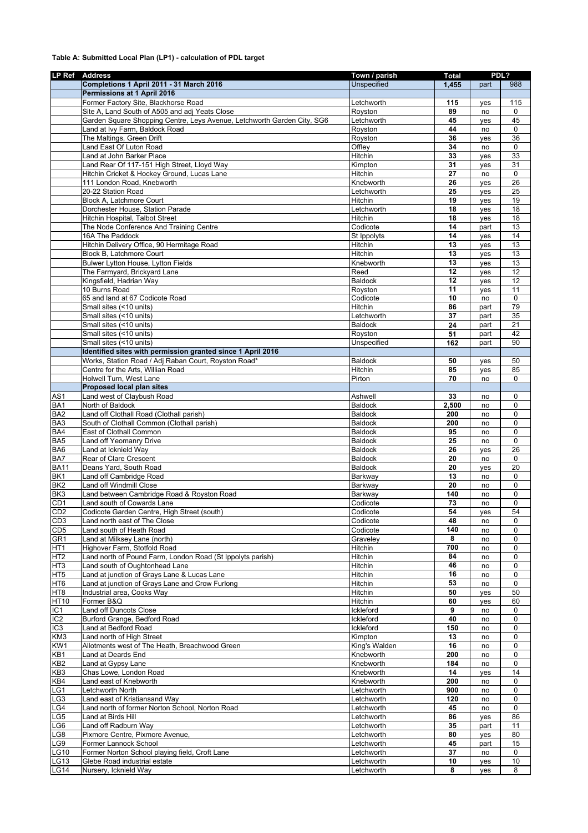## **Table A: Submitted Local Plan (LP1) - calculation of PDL target**

|                  | LP Ref Address                                                          | Town / parish       | <b>Total</b> | PDL?      |             |
|------------------|-------------------------------------------------------------------------|---------------------|--------------|-----------|-------------|
|                  | Completions 1 April 2011 - 31 March 2016                                | <b>Unspecified</b>  | 1,455        | part      | 988         |
|                  | Permissions at 1 April 2016                                             |                     |              |           |             |
|                  | Former Factory Site, Blackhorse Road                                    | Letchworth          | 115          | yes       | 115         |
|                  | Site A, Land South of A505 and adj Yeats Close                          | Royston             | 89           | no        | 0           |
|                  | Garden Square Shopping Centre, Leys Avenue, Letchworth Garden City, SG6 | Letchworth          | 45           | yes       | 45          |
|                  | Land at Ivy Farm, Baldock Road                                          | Royston             | 44           | no        | 0           |
|                  | The Maltings, Green Drift                                               | Royston             | 36           | yes       | 36          |
|                  | Land East Of Luton Road                                                 | Offley              | 34           | no        | 0           |
|                  | Land at John Barker Place                                               | Hitchin             | 33           | ves       | 33          |
|                  | Land Rear Of 117-151 High Street, Lloyd Way                             | Kimpton             | 31           | yes       | 31          |
|                  | Hitchin Cricket & Hockey Ground, Lucas Lane                             | Hitchin             | 27           | no        | $\mathbf 0$ |
|                  | 111 London Road, Knebworth                                              | Knebworth           | 26           | yes       | 26          |
|                  | 20-22 Station Road                                                      | Letchworth          | 25           | yes       | 25          |
|                  | Block A, Latchmore Court                                                | Hitchin             | 19           | yes       | 19          |
|                  | Dorchester House, Station Parade                                        | Letchworth          | 18           | yes       | 18          |
|                  | Hitchin Hospital, Talbot Street                                         | Hitchin             | 18           | yes       | 18          |
|                  | The Node Conference And Training Centre                                 | Codicote            | 14           | part      | 13          |
|                  | 16A The Paddock                                                         | St Ippolyts         | 14           | yes       | 14          |
|                  | Hitchin Delivery Office, 90 Hermitage Road                              | Hitchin             | 13           | yes       | 13          |
|                  | Block B, Latchmore Court                                                | Hitchin             | 13<br>13     | yes       | 13          |
|                  | Bulwer Lytton House, Lytton Fields                                      | Knebworth           | 12           | ves       | 13          |
|                  | The Farmyard, Brickyard Lane<br>Kingsfield, Hadrian Way                 | Reed                | 12           | yes       | 12<br>12    |
|                  | 10 Burns Road                                                           | <b>Baldock</b>      | 11           | yes       |             |
|                  | 65 and land at 67 Codicote Road                                         | Royston<br>Codicote | 10           | yes<br>no | 11<br>0     |
|                  | Small sites (<10 units)                                                 | Hitchin             | 86           | part      | 79          |
|                  | Small sites (<10 units)                                                 | Letchworth          | 37           | part      | 35          |
|                  | Small sites (<10 units)                                                 | <b>Baldock</b>      | 24           | part      | 21          |
|                  | Small sites (<10 units)                                                 | Royston             | 51           | part      | 42          |
|                  | Small sites (<10 units)                                                 | Unspecified         | 162          | part      | 90          |
|                  | Identified sites with permission granted since 1 April 2016             |                     |              |           |             |
|                  | Works, Station Road / Adj Raban Court, Royston Road*                    | <b>Baldock</b>      | 50           |           | 50          |
|                  | Centre for the Arts, Willian Road                                       | Hitchin             | 85           | yes       | 85          |
|                  | Holwell Turn, West Lane                                                 | Pirton              | 70           | yes<br>no | 0           |
|                  | Proposed local plan sites                                               |                     |              |           |             |
| AS <sub>1</sub>  | Land west of Claybush Road                                              | Ashwell             | 33           | no        | 0           |
| <b>BA1</b>       | North of Baldock                                                        | <b>Baldock</b>      | 2,500        | no        | 0           |
| BA <sub>2</sub>  | Land off Clothall Road (Clothall parish)                                | <b>Baldock</b>      | 200          | no        | 0           |
| BA <sub>3</sub>  | South of Clothall Common (Clothall parish)                              | <b>Baldock</b>      | 200          | no        | 0           |
| BA4              | East of Clothall Common                                                 | <b>Baldock</b>      | 95           | no        | 0           |
| BA <sub>5</sub>  | Land off Yeomanry Drive                                                 | <b>Baldock</b>      | 25           | no        | 0           |
| BA <sub>6</sub>  | Land at Icknield Way                                                    | <b>Baldock</b>      | 26           | yes       | 26          |
| <b>BAZ</b>       | Rear of Clare Crescent                                                  | <b>Baldock</b>      | 20           | no        | 0           |
| <b>BA11</b>      | Deans Yard, South Road                                                  | <b>Baldock</b>      | 20           | yes       | 20          |
| BK1              | Land off Cambridge Road                                                 | Barkway             | 13           | no        | 0           |
| BK <sub>2</sub>  | Land off Windmill Close                                                 | Barkway             | 20           | no        | 0           |
| BK <sub>3</sub>  | Land between Cambridge Road & Royston Road                              | Barkway             | 140          | no        | 0           |
| CD <sub>1</sub>  | Land south of Cowards Lane                                              | Codicote            | 73           | no        | 0           |
| CD <sub>2</sub>  | Codicote Garden Centre, High Street (south)                             | Codicote            | 54           | yes       | 54          |
| CD3              | Land north east of The Close                                            | Codicote            | 48           | no        | 0           |
| CD <sub>5</sub>  | Land south of Heath Road                                                | Codicote            | 140          | no        | 0           |
| GR <sub>1</sub>  | Land at Milksey Lane (north)                                            | Graveley            | 8            | no        | 0           |
| $\overline{HT1}$ | Highover Farm, Stotfold Road                                            | Hitchin             | 700          | no        | 0           |
| HT2              | Land north of Pound Farm, London Road (St Ippolyts parish)              | Hitchin             | 84           | no        | 0           |
| HT <sub>3</sub>  | Land south of Oughtonhead Lane                                          | Hitchin             | 46           | no        | 0           |
| HT <sub>5</sub>  | Land at junction of Grays Lane & Lucas Lane                             | Hitchin             | 16           | no        | 0           |
| HT <sub>6</sub>  | Land at junction of Grays Lane and Crow Furlong                         | Hitchin             | 53           | no        | 0           |
| HT <sub>8</sub>  | Industrial area, Cooks Way                                              | Hitchin             | 50           | yes       | 50          |
| HT <sub>10</sub> | Former B&Q                                                              | Hitchin             | 60           | yes       | 60          |
| IC <sub>1</sub>  | <b>Land off Duncots Close</b>                                           | Ickleford           | 9            | no        | 0           |
| IC <sub>2</sub>  | Burford Grange, Bedford Road                                            | Ickleford           | 40           | no        | 0           |
| IC <sub>3</sub>  | Land at Bedford Road                                                    | Ickleford           | 150          | no        | 0           |
| KM <sub>3</sub>  | Land north of High Street                                               | Kimpton             | 13           | no        | 0           |
| KW <sub>1</sub>  | Allotments west of The Heath, Breachwood Green                          | King's Walden       | 16           | no        | 0           |
| KB1              | Land at Deards End                                                      | Knebworth           | 200          | no        | 0           |
| KB2              | Land at Gypsy Lane                                                      | Knebworth           | 184          | no        | 0           |
| KB <sub>3</sub>  | Chas Lowe, London Road                                                  | Knebworth           | 14           | yes       | 14          |
| KB4              | Land east of Knebworth                                                  | Knebworth           | 200          | no        | 0           |
| LG1              | Letchworth North                                                        | Letchworth          | 900          | no        | 0           |
| LG3              | Land east of Kristiansand Way                                           | Letchworth          | 120          | no        | 0           |
| LG4              | Land north of former Norton School, Norton Road                         | Letchworth          | 45           | no        | 0           |
| LG5              | Land at Birds Hill                                                      | Letchworth          | 86           | yes       | 86          |
| _G6              | Land off Radburn Way                                                    | Letchworth          | 35           | part      | 11          |
| LG8              | Pixmore Centre, Pixmore Avenue,                                         | Letchworth          | 80           | yes       | 80          |
| LG9              | Former Lannock School                                                   | Letchworth          | 45           | part      | 15          |
| <b>LG10</b>      | Former Norton School playing field, Croft Lane                          | Letchworth          | 37           | no        | 0           |
| LG13             | Glebe Road industrial estate                                            | Letchworth          | 10           | yes       | 10          |
| <b>LG14</b>      | Nursery, Icknield Way                                                   | Letchworth          | 8            | yes       | 8           |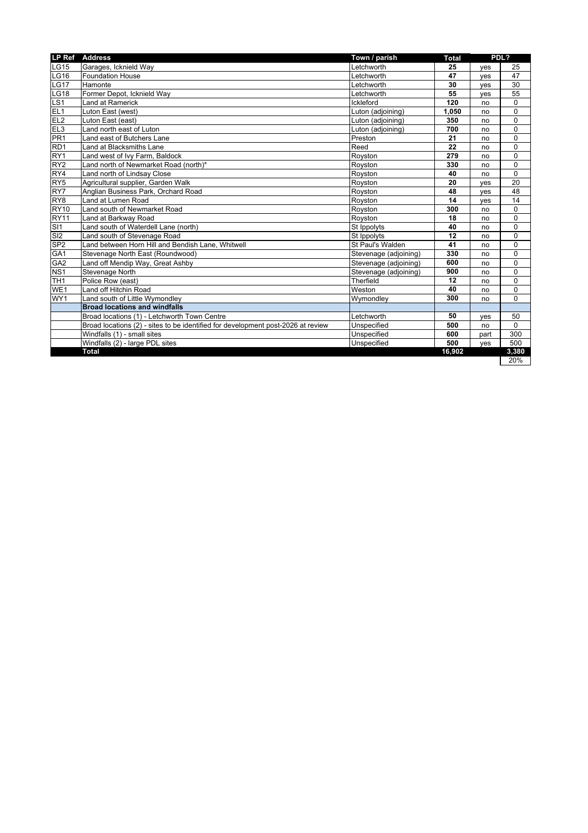| <b>LP Ref</b>                    | <b>Address</b>                                                                   | Town / parish         | <b>Total</b> | PDL? |          |
|----------------------------------|----------------------------------------------------------------------------------|-----------------------|--------------|------|----------|
| LG15                             | Garages, Icknield Way                                                            | Letchworth            | 25           | ves  | 25       |
| LG16                             | <b>Foundation House</b>                                                          | _etchworth            | 47           | ves  | 47       |
| LG17                             | Hamonte                                                                          | Letchworth            | 30           | ves  | 30       |
| <b>LG18</b>                      | Former Depot, Icknield Way                                                       | _etchworth            | 55           | ves  | 55       |
| LS <sub>1</sub>                  | Land at Ramerick                                                                 | Ickleford             | 120          | no   | 0        |
| EL1                              | Luton East (west)                                                                | Luton (adjoining)     | 1,050        | no   | 0        |
| EL <sub>2</sub>                  | Luton East (east)                                                                | Luton (adjoining)     | 350          | no   | 0        |
| $\frac{1}{E}$<br>$\frac{1}{PR1}$ | Land north east of Luton                                                         | Luton (adjoining)     | 700          | no   | 0        |
|                                  | Land east of Butchers Lane                                                       | Preston               | 21           | no   | 0        |
| RD <sub>1</sub>                  | Land at Blacksmiths Lane                                                         | Reed                  | 22           | no   | 0        |
| RY <sub>1</sub>                  | Land west of Ivy Farm, Baldock                                                   | Royston               | 279          | no   | 0        |
| RY <sub>2</sub>                  | Land north of Newmarket Road (north)*                                            | Royston               | 330          | no   | 0        |
| RY4                              | Land north of Lindsay Close                                                      | Royston               | 40           | no   | 0        |
| RY <sub>5</sub>                  | Agricultural supplier, Garden Walk                                               | Royston               | 20           | ves  | 20       |
| RY7                              | Anglian Business Park, Orchard Road                                              | Royston               | 48           | ves  | 48       |
| RY8                              | Land at Lumen Road                                                               | Royston               | 14           | ves  | 14       |
| <b>RY10</b>                      | Land south of Newmarket Road                                                     | Royston               | 300          | no   | 0        |
| RY <sub>11</sub>                 | Land at Barkway Road                                                             | Rovston               | 18           | no   | 0        |
| $rac{1}{\mathsf{S}}$ SI1         | Land south of Waterdell Lane (north)                                             | St Ippolyts           | 40           | no   | 0        |
|                                  | Land south of Stevenage Road                                                     | St Ippolyts           | 12           | no   | 0        |
| SP <sub>2</sub>                  | Land between Horn Hill and Bendish Lane, Whitwell                                | St Paul's Walden      | 41           | no   | 0        |
| GA <sub>1</sub>                  | Stevenage North East (Roundwood)                                                 | Stevenage (adjoining) | 330          | no   | 0        |
| GA2                              | Land off Mendip Way, Great Ashby                                                 | Stevenage (adjoining) | 600          | no   | 0        |
| NS <sub>1</sub>                  | Stevenage North                                                                  | Stevenage (adjoining) | 900          | no   | 0        |
| TH <sub>1</sub>                  | Police Row (east)                                                                | Therfield             | 12           | no   | 0        |
| WE1                              | Land off Hitchin Road                                                            | Weston                | 40           | no   | 0        |
| WY1                              | Land south of Little Wymondley                                                   | Wymondley             | 300          | no   | $\Omega$ |
|                                  | <b>Broad locations and windfalls</b>                                             |                       |              |      |          |
|                                  | Broad locations (1) - Letchworth Town Centre                                     | _etchworth            | 50           | ves  | 50       |
|                                  | Broad locations (2) - sites to be identified for development post-2026 at review | Unspecified           | 500          | no   | $\Omega$ |
|                                  | Windfalls (1) - small sites                                                      | Unspecified           | 600          | part | 300      |
|                                  | Windfalls (2) - large PDL sites                                                  | Unspecified           | 500          | ves  | 500      |
|                                  | <b>Total</b>                                                                     |                       | 16.902       |      | 3,380    |

 $20%$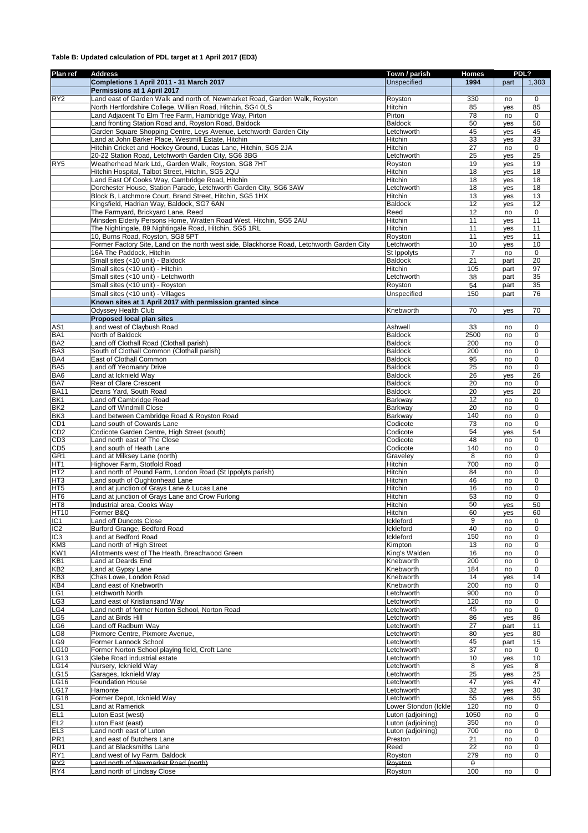## **Table B: Updated calculation of PDL target at 1 April 2017 (ED3)**

| Plan ref                           | <b>Address</b>                                                                            | Town / parish                | <b>Homes</b>    |      | PDL?            |
|------------------------------------|-------------------------------------------------------------------------------------------|------------------------------|-----------------|------|-----------------|
|                                    | Completions 1 April 2011 - 31 March 2017                                                  | Unspecified                  | 1994            | part | 1,303           |
|                                    | Permissions at 1 April 2017                                                               |                              |                 |      |                 |
| RY <sub>2</sub>                    | Land east of Garden Walk and north of, Newmarket Road, Garden Walk, Royston               | Royston                      | 330             | no   | 0               |
|                                    | North Hertfordshire College, Willian Road, Hitchin, SG4 0LS                               | Hitchin                      | 85              | yes  | 85              |
|                                    | Land Adjacent To Elm Tree Farm, Hambridge Way, Pirton                                     | Pirton                       | 78              | no   | 0               |
|                                    | Land fronting Station Road and, Royston Road, Baldock                                     | Baldock                      | 50              | yes  | 50              |
|                                    | Garden Square Shopping Centre, Leys Avenue, Letchworth Garden City                        | Letchworth                   | 45              | yes  | 45              |
|                                    | Land at John Barker Place, Westmill Estate, Hitchin                                       | Hitchin                      | 33              | yes  | 33              |
|                                    | Hitchin Cricket and Hockey Ground, Lucas Lane, Hitchin, SG5 2JA                           | Hitchin                      | 27              | no   | $\mathbf 0$     |
|                                    | 20-22 Station Road, Letchworth Garden City, SG6 3BG                                       | Letchworth                   | 25              | yes  | 25              |
| RY <sub>5</sub>                    | Weatherhead Mark Ltd,, Garden Walk, Royston, SG8 7HT                                      | Royston                      | 19              | yes  | 19              |
|                                    | Hitchin Hospital, Talbot Street, Hitchin, SG5 2QU                                         | Hitchin                      | 18              | yes  | 18              |
|                                    | Land East Of Cooks Way, Cambridge Road, Hitchin                                           | Hitchin                      | 18              | yes  | 18              |
|                                    | Dorchester House, Station Parade, Letchworth Garden City, SG6 3AW                         | Letchworth                   | 18              | yes  | 18              |
|                                    | Block B, Latchmore Court, Brand Street, Hitchin, SG5 1HX                                  | Hitchin                      | 13              | yes  | 13              |
|                                    | Kingsfield, Hadrian Way, Baldock, SG7 6AN                                                 | Baldock                      | 12              | yes  | 12              |
|                                    | The Farmyard, Brickyard Lane, Reed                                                        | Reed                         | 12              | no   | $\pmb{0}$       |
|                                    | Minsden Elderly Persons Home, Wratten Road West, Hitchin, SG5 2AU                         | Hitchin                      | 11              | yes  | 11              |
|                                    | The Nightingale, 89 Nightingale Road, Hitchin, SG5 1RL                                    | Hitchin                      | 11              | yes  | 11              |
|                                    | 10, Burns Road, Royston, SG8 5PT                                                          | Royston                      | 11              | yes  | 11              |
|                                    | Former Factory Site, Land on the north west side, Blackhorse Road, Letchworth Garden City | Letchworth                   | 10              | yes  | 10              |
|                                    | 16A The Paddock, Hitchin                                                                  | St Ippolyts                  | 7               |      | $\pmb{0}$       |
|                                    | Small sites (<10 unit) - Baldock                                                          | Baldock                      | 21              | no   | 20              |
|                                    | Small sites (<10 unit) - Hitchin                                                          | Hitchin                      | 105             | part | 97              |
|                                    | Small sites (<10 unit) - Letchworth                                                       |                              |                 | part |                 |
|                                    |                                                                                           | Letchworth                   | 38              | part | 35              |
|                                    | Small sites (<10 unit) - Royston                                                          | Royston                      | 54              | part | 35              |
|                                    | Small sites (<10 unit) - Villages                                                         | Unspecified                  | 150             | part | 76              |
|                                    | Known sites at 1 April 2017 with permission granted since                                 |                              |                 |      |                 |
|                                    | <b>Odyssey Health Club</b>                                                                | Knebworth                    | 70              | yes  | 70              |
|                                    | Proposed local plan sites                                                                 |                              |                 |      |                 |
| AS <sub>1</sub>                    | Land west of Claybush Road                                                                | Ashwell                      | 33              | no   | $\mathbf 0$     |
| BA <sub>1</sub>                    | North of Baldock                                                                          | Baldock                      | 2500            | no   | 0               |
| BA <sub>2</sub>                    | Land off Clothall Road (Clothall parish)                                                  | Baldock                      | 200             | no   | $\mathbf 0$     |
| BA <sub>3</sub>                    | South of Clothall Common (Clothall parish)                                                | Baldock                      | 200             | no   | $\mathbf 0$     |
| BA4                                | East of Clothall Common                                                                   | Baldock                      | 95              | no   | 0               |
| BA <sub>5</sub>                    | Land off Yeomanry Drive                                                                   | Baldock                      | 25              | no   | $\pmb{0}$       |
| BA <sub>6</sub>                    | Land at Icknield Way                                                                      | Baldock                      | 26              | yes  | $\overline{26}$ |
| BA7                                | Rear of Clare Crescent                                                                    | Baldock                      | 20              | no   | $\pmb{0}$       |
| <b>BA11</b>                        | Deans Yard, South Road                                                                    | Baldock                      | 20              | yes  | 20              |
| BK <sub>1</sub>                    | Land off Cambridge Road                                                                   | Barkway                      | 12              | no   | $\mathbf 0$     |
| BK <sub>2</sub>                    | Land off Windmill Close                                                                   | <b>Barkway</b>               | 20              | no   | $\mathbf 0$     |
| BK <sub>3</sub>                    | Land between Cambridge Road & Royston Road                                                | Barkway                      | 140             | no   | $\mathbf 0$     |
| CD <sub>1</sub>                    | Land south of Cowards Lane                                                                | Codicote                     | 73              | no   | $\mathbf 0$     |
| CD <sub>2</sub>                    | Codicote Garden Centre, High Street (south)                                               | Codicote                     | 54              | yes  | 54              |
| CD <sub>3</sub>                    | Land north east of The Close                                                              | Codicote                     | 48              | no   | $\pmb{0}$       |
| CD <sub>5</sub>                    | Land south of Heath Lane                                                                  | Codicote                     | 140             | no   | $\mathbf 0$     |
| GR <sub>1</sub>                    | Land at Milksey Lane (north)                                                              | Graveley                     | 8               | no   | $\pmb{0}$       |
| HT <sub>1</sub>                    | Highover Farm, Stotfold Road                                                              | Hitchin                      | 700             | no   | $\mathbf 0$     |
| HT <sub>2</sub>                    | Land north of Pound Farm, London Road (St Ippolyts parish)                                | Hitchin                      | 84              | no   | $\pmb{0}$       |
| HT <sub>3</sub>                    | Land south of Oughtonhead Lane                                                            | Hitchin                      | 46              | no   | 0               |
| HT <sub>5</sub>                    | and at junction of Grays Lane & Lucas Lane                                                | Hitchin                      | 16              | no   | $\mathbf 0$     |
| HT <sub>6</sub>                    | Land at junction of Grays Lane and Crow Furlong                                           | Hitchin                      | 53              | no   | $\pmb{0}$       |
| HT <sub>8</sub>                    | Industrial area, Cooks Way                                                                | Hitchin                      | 50              | yes  | 50              |
| <b>HT10</b>                        | Former B&Q                                                                                | <b>Hitchin</b>               | 60              | yes  | 60              |
| IC1                                | Land off Duncots Close                                                                    | Ickleford                    | 9               | no   | 0               |
| IC <sub>2</sub>                    | Burford Grange, Bedford Road                                                              | Ickleford                    | 40              | no   | $\mathbf 0$     |
| IC <sub>3</sub>                    | Land at Bedford Road                                                                      | Ickleford                    | 150             | no   | 0               |
| KM3                                | Land north of High Street                                                                 | Kimpton                      | 13              | no   | $\pmb{0}$       |
| KW1                                | Allotments west of The Heath, Breachwood Green                                            | King's Walden                | 16              | no   | 0               |
| KB <sub>1</sub>                    | Land at Deards End                                                                        | Knebworth                    | 200             | no   | 0               |
| KB <sub>2</sub>                    | Land at Gypsy Lane                                                                        | Knebworth                    | 184             | no   | $\mathbf 0$     |
| KB <sub>3</sub>                    | Chas Lowe, London Road                                                                    | Knebworth                    | 14              | yes  | 14              |
| KB4                                | Land east of Knebworth                                                                    | Knebworth                    | 200             | no   | $\mathbf 0$     |
| LG1                                | Letchworth North                                                                          | Letchworth                   | 900             | no   | 0               |
| $-G3$                              | and east of Kristiansand Way                                                              | Letchworth                   | 120             | no   | 0               |
| LG4                                | Land north of former Norton School, Norton Road                                           | Letchworth                   | 45              | no   | 0               |
| LG5                                | and at Birds Hill                                                                         | Letchworth                   | 86              | yes  | 86              |
| -G6                                | Land off Radburn Way                                                                      | Letchworth                   | 27              | part | 11              |
| LG8                                | Pixmore Centre, Pixmore Avenue,                                                           | Letchworth                   | 80              | yes  | 80              |
| LG9                                | Former Lannock School                                                                     | Letchworth                   | 45              | part | 15              |
| <b>LG10</b>                        | Former Norton School playing field, Croft Lane                                            | Letchworth                   | 37              | no   | 0               |
| LG13                               | Glebe Road industrial estate                                                              | Letchworth                   | 10              | yes  | 10              |
| <b>LG14</b>                        | Nursery, Icknield Way                                                                     | Letchworth                   | 8               | yes  | 8               |
| LG15                               | Garages, Icknield Way                                                                     | Letchworth                   | 25              | yes  | 25              |
| LG16                               | Foundation House                                                                          | Letchworth                   | 47              | yes  | 47              |
| <b>LG17</b>                        | Hamonte                                                                                   | Letchworth                   | 32              | yes  | 30              |
| LG18                               | Former Depot, Icknield Way                                                                | Letchworth                   | 55              | yes  | 55              |
| LS <sub>1</sub>                    | Land at Ramerick                                                                          | Lower Stondon (Ickle         | 120             | no   | 0               |
| EL <sub>1</sub>                    | Luton East (west)                                                                         | Luton (adjoining)            | 1050            |      | 0               |
| EL <sub>2</sub>                    | Luton East (east)                                                                         | Luton (adjoining)            | 350             | no   | 0               |
|                                    |                                                                                           |                              | 700             | no   | 0               |
| EL <sub>3</sub><br>PR <sub>1</sub> | Land north east of Luton<br>Land east of Butchers Lane                                    | Luton (adjoining)<br>Preston | 21              | no   | 0               |
| RD <sub>1</sub>                    |                                                                                           | Reed                         | 22              | no   | 0               |
| RY <sub>1</sub>                    | Land at Blacksmiths Lane                                                                  |                              |                 | no   |                 |
|                                    | Land west of Ivy Farm, Baldock                                                            | Royston                      | 279             | no   | 0               |
| RY <sub>2</sub><br>RY4             | Land north of Newmarket Road (north)                                                      | Royston                      | $\theta$<br>100 |      | $\mathbf 0$     |
|                                    | Land north of Lindsay Close                                                               | Royston                      |                 | no   |                 |